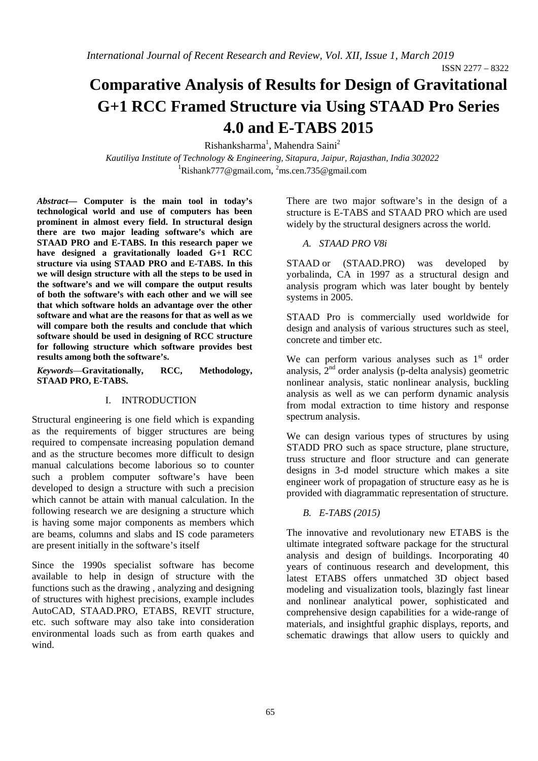ISSN 2277 – 8322

# **Comparative Analysis of Results for Design of Gravitational G+1 RCC Framed Structure via Using STAAD Pro Series 4.0 and E-TABS 2015**

Rishanksharma<sup>1</sup>, Mahendra Saini<sup>2</sup>

*Kautiliya Institute of Technology & Engineering, Sitapura, Jaipur, Rajasthan, India 302022*  <sup>1</sup>Rishank777@gmail.com, <sup>2</sup>ms.cen.735@gmail.com

*Abstract***— Computer is the main tool in today's technological world and use of computers has been prominent in almost every field. In structural design there are two major leading software's which are STAAD PRO and E-TABS. In this research paper we have designed a gravitationally loaded G+1 RCC structure via using STAAD PRO and E-TABS. In this we will design structure with all the steps to be used in the software's and we will compare the output results of both the software's with each other and we will see that which software holds an advantage over the other software and what are the reasons for that as well as we will compare both the results and conclude that which software should be used in designing of RCC structure for following structure which software provides best results among both the software's.** 

*Keywords*—**Gravitationally, RCC, Methodology, STAAD PRO, E-TABS.** 

### I. INTRODUCTION

Structural engineering is one field which is expanding as the requirements of bigger structures are being required to compensate increasing population demand and as the structure becomes more difficult to design manual calculations become laborious so to counter such a problem computer software's have been developed to design a structure with such a precision which cannot be attain with manual calculation. In the following research we are designing a structure which is having some major components as members which are beams, columns and slabs and IS code parameters are present initially in the software's itself

Since the 1990s specialist software has become available to help in design of structure with the functions such as the drawing , analyzing and designing of structures with highest precisions, example includes AutoCAD, STAAD.PRO, ETABS, REVIT structure, etc. such software may also take into consideration environmental loads such as from earth quakes and wind.

There are two major software's in the design of a structure is E-TABS and STAAD PRO which are used widely by the structural designers across the world.

#### *A. STAAD PRO V8i*

STAAD or (STAAD.PRO) was developed by yorbalinda, CA in 1997 as a structural design and analysis program which was later bought by bentely systems in 2005.

STAAD Pro is commercially used worldwide for design and analysis of various structures such as steel, concrete and timber etc.

We can perform various analyses such as  $1<sup>st</sup>$  order analysis,  $2<sup>nd</sup>$  order analysis (p-delta analysis) geometric nonlinear analysis, static nonlinear analysis, buckling analysis as well as we can perform dynamic analysis from modal extraction to time history and response spectrum analysis.

We can design various types of structures by using STADD PRO such as space structure, plane structure, truss structure and floor structure and can generate designs in 3-d model structure which makes a site engineer work of propagation of structure easy as he is provided with diagrammatic representation of structure.

#### *B. E-TABS (2015)*

The innovative and revolutionary new ETABS is the ultimate integrated software package for the structural analysis and design of buildings. Incorporating 40 years of continuous research and development, this latest ETABS offers unmatched 3D object based modeling and visualization tools, blazingly fast linear and nonlinear analytical power, sophisticated and comprehensive design capabilities for a wide-range of materials, and insightful graphic displays, reports, and schematic drawings that allow users to quickly and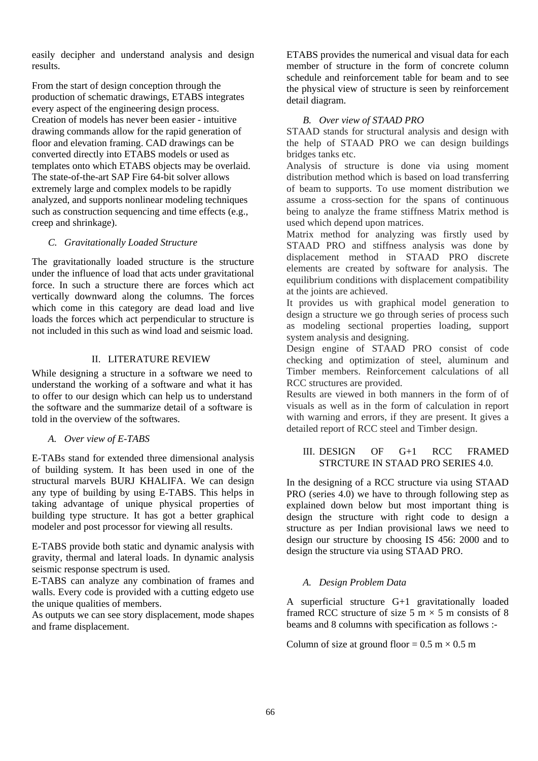easily decipher and understand analysis and design results.

From the start of design conception through the production of schematic drawings, ETABS integrates every aspect of the engineering design process. Creation of models has never been easier - intuitive drawing commands allow for the rapid generation of floor and elevation framing. CAD drawings can be converted directly into ETABS models or used as templates onto which ETABS objects may be overlaid. The state-of-the-art SAP Fire 64-bit solver allows extremely large and complex models to be rapidly analyzed, and supports nonlinear modeling techniques such as construction sequencing and time effects (e.g., creep and shrinkage).

#### *C. Gravitationally Loaded Structure*

The gravitationally loaded structure is the structure under the influence of load that acts under gravitational force. In such a structure there are forces which act vertically downward along the columns. The forces which come in this category are dead load and live loads the forces which act perpendicular to structure is not included in this such as wind load and seismic load.

#### II. LITERATURE REVIEW

While designing a structure in a software we need to understand the working of a software and what it has to offer to our design which can help us to understand the software and the summarize detail of a software is told in the overview of the softwares.

*A. Over view of E-TABS* 

E-TABs stand for extended three dimensional analysis of building system. It has been used in one of the structural marvels BURJ KHALIFA. We can design any type of building by using E-TABS. This helps in taking advantage of unique physical properties of building type structure. It has got a better graphical modeler and post processor for viewing all results.

E-TABS provide both static and dynamic analysis with gravity, thermal and lateral loads. In dynamic analysis seismic response spectrum is used.

E-TABS can analyze any combination of frames and walls. Every code is provided with a cutting edgeto use the unique qualities of members.

As outputs we can see story displacement, mode shapes and frame displacement.

ETABS provides the numerical and visual data for each member of structure in the form of concrete column schedule and reinforcement table for beam and to see the physical view of structure is seen by reinforcement detail diagram.

#### *B. Over view of STAAD PRO*

STAAD stands for structural analysis and design with the help of STAAD PRO we can design buildings bridges tanks etc.

Analysis of structure is done via using moment distribution method which is based on load transferring of beam to supports. To use moment distribution we assume a cross-section for the spans of continuous being to analyze the frame stiffness Matrix method is used which depend upon matrices.

Matrix method for analyzing was firstly used by STAAD PRO and stiffness analysis was done by displacement method in STAAD PRO discrete elements are created by software for analysis. The equilibrium conditions with displacement compatibility at the joints are achieved.

It provides us with graphical model generation to design a structure we go through series of process such as modeling sectional properties loading, support system analysis and designing.

Design engine of STAAD PRO consist of code checking and optimization of steel, aluminum and Timber members. Reinforcement calculations of all RCC structures are provided.

Results are viewed in both manners in the form of of visuals as well as in the form of calculation in report with warning and errors, if they are present. It gives a detailed report of RCC steel and Timber design.

## III. DESIGN OF G+1 RCC FRAMED STRCTURE IN STAAD PRO SERIES 4.0.

In the designing of a RCC structure via using STAAD PRO (series 4.0) we have to through following step as explained down below but most important thing is design the structure with right code to design a structure as per Indian provisional laws we need to design our structure by choosing IS 456: 2000 and to design the structure via using STAAD PRO.

#### *A. Design Problem Data*

A superficial structure G+1 gravitationally loaded framed RCC structure of size 5 m  $\times$  5 m consists of 8 beams and 8 columns with specification as follows :-

Column of size at ground floor =  $0.5 \text{ m} \times 0.5 \text{ m}$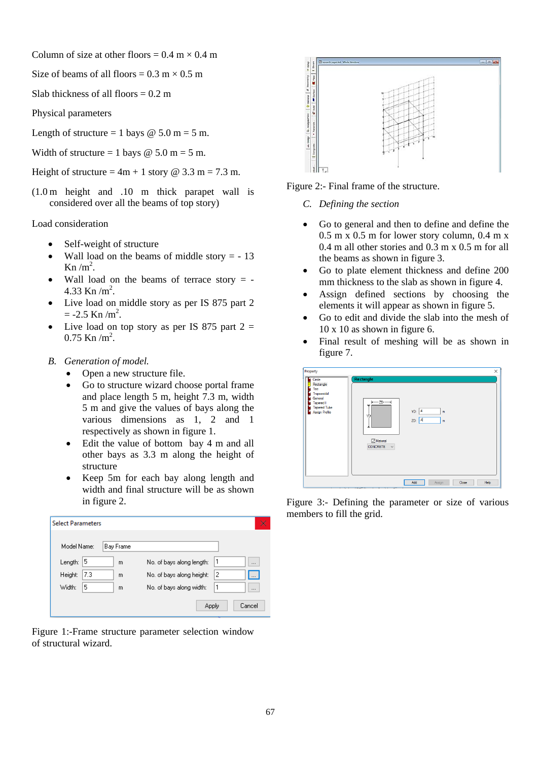Column of size at other floors =  $0.4 \text{ m} \times 0.4 \text{ m}$ 

Size of beams of all floors =  $0.3 \text{ m} \times 0.5 \text{ m}$ 

Slab thickness of all floors  $= 0.2$  m

Physical parameters

Length of structure = 1 bays  $\omega$  5.0 m = 5 m.

Width of structure = 1 bays  $\omega$  5.0 m = 5 m.

Height of structure =  $4m + 1$  story @ 3.3 m = 7.3 m.

(1.0 m height and .10 m thick parapet wall is considered over all the beams of top story)

Load consideration

- Self-weight of structure
- Wall load on the beams of middle story  $= -13$ Kn  $/m<sup>2</sup>$ .
- Wall load on the beams of terrace story  $= -$ 4.33 Kn  $/m^2$ .
- Live load on middle story as per IS 875 part 2  $= -2.5$  Kn /m<sup>2</sup>.
- Live load on top story as per IS 875 part  $2 =$  $0.75$  Kn /m<sup>2</sup>.
- *B. Generation of model.* 
	- Open a new structure file.
	- Go to structure wizard choose portal frame and place length 5 m, height 7.3 m, width 5 m and give the values of bays along the various dimensions as 1, 2 and 1 respectively as shown in figure 1.
	- Edit the value of bottom bay 4 m and all other bays as 3.3 m along the height of structure
	- Keep 5m for each bay along length and width and final structure will be as shown in figure 2.

| <b>Select Parameters</b> |           | ×                                          |
|--------------------------|-----------|--------------------------------------------|
|                          |           |                                            |
| Model Name:              | Bay Frame |                                            |
| 5<br>Length:             | m         | No. of bays along length:<br>$\cdots$      |
| 7.3<br>Height:           | m         | 2<br>No. of bays along height:<br>$\cdots$ |
| 5<br>Width:              | m         | No. of bays along width:<br>$\cdots$       |
|                          |           | Cancel<br>Apply                            |

Figure 1:-Frame structure parameter selection window of structural wizard.



Figure 2:- Final frame of the structure.

- *C. Defining the section*
- Go to general and then to define and define the  $0.5$  m x  $0.5$  m for lower story column,  $0.4$  m x 0.4 m all other stories and 0.3 m x 0.5 m for all the beams as shown in figure 3.
- Go to plate element thickness and define 200 mm thickness to the slab as shown in figure 4.
- Assign defined sections by choosing the elements it will appear as shown in figure 5.
- Go to edit and divide the slab into the mesh of 10 x 10 as shown in figure 6.
- Final result of meshing will be as shown in figure 7.

| Property                                                                                                          | ×                                                                                                                                         |
|-------------------------------------------------------------------------------------------------------------------|-------------------------------------------------------------------------------------------------------------------------------------------|
| Circle<br>Rectangle<br>Tee<br>Trapezoidal<br>General<br><b>Tapered I</b><br><b>Tapered Tube</b><br>Assign Profile | Rectangle<br>$+-$ zp-<br>YD: A<br>m<br>ΥD<br>$\mathcal{A}$<br>ZD:<br>m<br>$\boxed{\triangle}$ Material<br><b>CONCRETE</b><br>$\checkmark$ |
|                                                                                                                   | Help<br>Add<br>Assign<br>Close                                                                                                            |

Figure 3:- Defining the parameter or size of various members to fill the grid.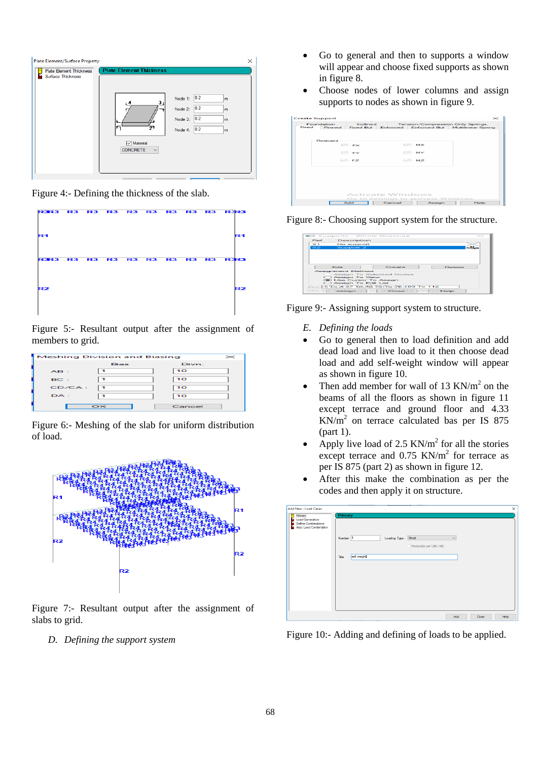

Figure 4:- Defining the thickness of the slab.



Figure 5:- Resultant output after the assignment of members to grid.

|        | <b>Meshing Division and Biasing</b> | $\!$            |
|--------|-------------------------------------|-----------------|
|        | <b>Bias</b>                         | Divn.           |
| AB:    |                                     | 10              |
| BC:    |                                     | $\overline{10}$ |
| CD/CA: |                                     | 10              |
| DA:    |                                     | 10              |
|        | OK                                  | Cancel          |

Figure 6:- Meshing of the slab for uniform distribution of load.



Figure 7:- Resultant output after the assignment of slabs to grid.

*D. Defining the support system* 

- Go to general and then to supports a window will appear and choose fixed supports as shown in figure 8.
- Choose nodes of lower columns and assign supports to nodes as shown in figure 9.

|       | Fournated inn    | Inclined                 |        |                                     | Tension/Compression Only Springs.        |
|-------|------------------|--------------------------|--------|-------------------------------------|------------------------------------------|
| Fixed | Pinned           | <b>Fixed But</b>         |        |                                     | Enforced Enforced But Multilinear Spring |
|       | <b>Bestraint</b> | $\vee$ FX<br>$\vee$ i FY |        | $\vee$ I MX<br>$\sim$ $\sim$        |                                          |
|       |                  |                          |        |                                     |                                          |
|       |                  | $\vee$ IFZ               |        | $\sim$ $\sim$                       |                                          |
|       |                  | Activate Windows         |        | Go to Settings to activate Windows. |                                          |
|       |                  | Add                      | Cancel | Assign                              | <b>Help</b>                              |



| <b>Bef</b> | Description                    |                          |                |
|------------|--------------------------------|--------------------------|----------------|
| --         | No support                     |                          |                |
| $s_{2}$    | Support 2                      |                          |                |
|            |                                |                          |                |
|            |                                |                          |                |
|            |                                |                          |                |
|            |                                |                          |                |
|            |                                |                          |                |
|            |                                |                          |                |
|            | E-tit-                         | Computer                 | <b>Context</b> |
|            |                                |                          |                |
|            | <b>Assignment Method</b>       |                          |                |
|            |                                | Assian To Selected Nodes |                |
|            | C) Assign To View              |                          |                |
|            | <b>Go Use Cursor To Assign</b> |                          |                |
|            | C) Assign To Edit List         |                          |                |

Figure 9:- Assigning support system to structure.

- *E. Defining the loads*
- Go to general then to load definition and add dead load and live load to it then choose dead load and add self-weight window will appear as shown in figure 10.
- Then add member for wall of 13 KN/ $m<sup>2</sup>$  on the beams of all the floors as shown in figure 11 except terrace and ground floor and 4.33  $KN/m<sup>2</sup>$  on terrace calculated bas per IS 875 (part 1).
- Apply live load of 2.5  $KN/m^2$  for all the stories except terrace and  $0.75$  KN/m<sup>2</sup> for terrace as per IS 875 (part 2) as shown in figure 12.
- After this make the combination as per the codes and then apply it on structure.

| Add New: Load Cases                                                                                          |                                                                                                                 | $\times$ |
|--------------------------------------------------------------------------------------------------------------|-----------------------------------------------------------------------------------------------------------------|----------|
| Primary<br>М<br>Б<br><b>Load Generation</b><br>в<br>Define Combinations<br><b>Auto Load Combination</b><br>ь | Primary<br>Loading Type: Dead<br>Number 1<br>$\checkmark$<br>Reducible per UBC/IBC<br>п<br>self weight<br>Title |          |
|                                                                                                              | Add.<br>Close                                                                                                   | Help.    |

Figure 10:- Adding and defining of loads to be applied.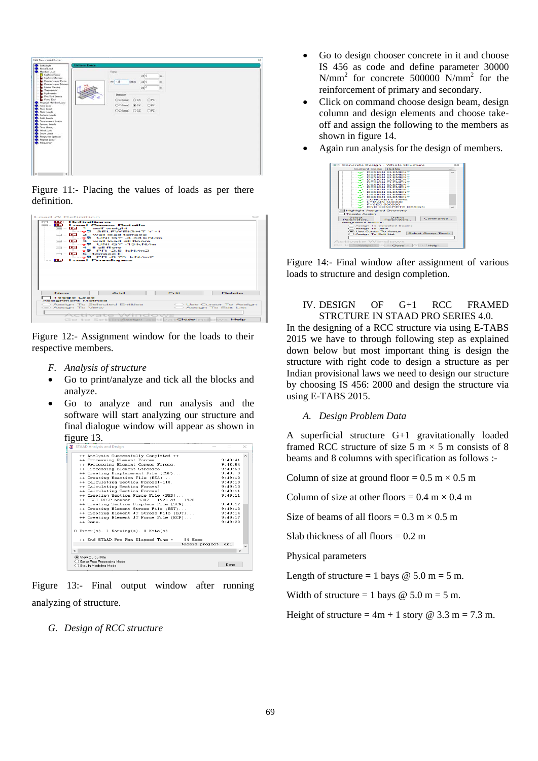

Figure 11:- Placing the values of loads as per there definition.

| Load & Definition                                                                                                                                                                                                                                                                                                                                                                                                                                                                                                                                                                                                                                                                                                                                  |               |                      |
|----------------------------------------------------------------------------------------------------------------------------------------------------------------------------------------------------------------------------------------------------------------------------------------------------------------------------------------------------------------------------------------------------------------------------------------------------------------------------------------------------------------------------------------------------------------------------------------------------------------------------------------------------------------------------------------------------------------------------------------------------|---------------|----------------------|
| Definitions<br>自主を行<br>$\frac{1}{2} \left\  \begin{array}{ccc} 0 & 0 & 0 \\ 0 & 0 & 0 \\ 0 & 0 & 0 \\ 0 & 0 & 0 \\ 0 & 0 & 0 \\ 0 & 0 & 0 \\ 0 & 0 & 0 \\ 0 & 0 & 0 \\ 0 & 0 & 0 \\ 0 & 0 & 0 \\ 0 & 0 & 0 \\ 0 & 0 & 0 \\ 0 & 0 & 0 & 0 \\ 0 & 0 & 0 & 0 \\ 0 & 0 & 0 & 0 \\ 0 & 0 & 0 & 0 & 0 \\ 0 & 0 & 0 & 0 & 0 \\ 0 & 0 & 0 & 0 & 0 \\ 0 & 0 & 0 & 0 & $<br><b>E. D. Load Cases Details</b><br>Fig. 1 : self weight<br>$\rightarrow$ SELFWEIGHT Y-1<br>$\equiv$ $\blacksquare$ 2 : wall load terrage<br>$ \rightarrow$ S UNIGY -4.33 kN/m<br>$\Box$ 3 : wall load all floors<br>$-2$ UNIGY-13 kN/m<br>$\Box$ $\Box$ 4 : II all filors<br>$-5$ PR-2.5 kN/m2<br>$\Box$ $\Box$ 5 : temace il<br>$-25$ PR-0.75 kN/m2<br><b>IL Load Envelopes</b> |               |                      |
| $A$ dd $B$<br>New                                                                                                                                                                                                                                                                                                                                                                                                                                                                                                                                                                                                                                                                                                                                  | <b>Edit</b> 1 | Delete               |
| Toggle Load<br><b>Assignment Method</b>                                                                                                                                                                                                                                                                                                                                                                                                                                                                                                                                                                                                                                                                                                            |               |                      |
| Assign To Selected Entities                                                                                                                                                                                                                                                                                                                                                                                                                                                                                                                                                                                                                                                                                                                        |               | Use Cursor To Assign |
| C Assign To View                                                                                                                                                                                                                                                                                                                                                                                                                                                                                                                                                                                                                                                                                                                                   |               | Assign To Edit List  |
| Activate Windows                                                                                                                                                                                                                                                                                                                                                                                                                                                                                                                                                                                                                                                                                                                                   |               |                      |
| Go to Settingssign activatGossindows.Help                                                                                                                                                                                                                                                                                                                                                                                                                                                                                                                                                                                                                                                                                                          |               |                      |

Figure 12:- Assignment window for the loads to their respective members.

- *F. Analysis of structure*
- Go to print/analyze and tick all the blocks and analyze.
- Go to analyze and run analysis and the software will start analyzing our structure and final dialogue window will appear as shown in figure 13.

|                                           | ++ Analysis Successfully Completed ++           |                     |
|-------------------------------------------|-------------------------------------------------|---------------------|
| ++ Processing Element Forces.             |                                                 | 9:48:41             |
|                                           | ++ Processing Element Corner Forces.            | 9:48:54             |
| ++ Processing Element Stresses.           |                                                 | 9:48:59             |
|                                           | ++ Creating Displacement File (DSP)             | 9:49:9              |
|                                           | ++ Creating Reaction File (REA)                 | 9:49:10             |
|                                           | ++ Calculating Section Forces1-110.             | 9:49:10             |
| ++ Calculating Section Forces2.           |                                                 | 9:49:10             |
| ++ Calculating Section Forces3            |                                                 | 9:49:11             |
|                                           | ++ Creating Section Force File (BMD)            | 9:49:11             |
| ++ SECT DISP member                       | 9302 1920 of 1928                               |                     |
|                                           | ++ Creating Section Displace File (SCN)         | 9:49:12             |
|                                           | ++ Creating Element Stress File (EST)           | 9:49:13             |
|                                           | ++ Creating Element JT Stress File (EJT)        | 9:49:14             |
|                                           | ++ Creating Element JT Force File (ECF)         | 9:49:17             |
| $++$ Done                                 |                                                 | 9:49:20             |
| $0$ Error(s), $1$ Warning(s), $0$ Note(s) |                                                 |                     |
|                                           | 84 Secs<br>++ End STAAD. Pro Run Elapsed Time = |                     |
|                                           |                                                 | thesis project .anl |
| $\epsilon$                                |                                                 | $\rightarrow$       |

Figure 13:- Final output window after running analyzing of structure.

*G. Design of RCC structure* 

- Go to design chooser concrete in it and choose IS 456 as code and define parameter 30000 N/mm<sup>2</sup> for concrete 500000 N/mm<sup>2</sup> for the reinforcement of primary and secondary.
- Click on command choose design beam, design column and design elements and choose takeoff and assign the following to the members as shown in figure 14.
- Again run analysis for the design of members.



Figure 14:- Final window after assignment of various loads to structure and design completion.

#### IV. DESIGN OF G+1 RCC FRAMED STRCTURE IN STAAD PRO SERIES 4.0.

In the designing of a RCC structure via using E-TABS 2015 we have to through following step as explained down below but most important thing is design the structure with right code to design a structure as per Indian provisional laws we need to design our structure by choosing IS 456: 2000 and design the structure via using E-TABS 2015.

#### *A. Design Problem Data*

A superficial structure G+1 gravitationally loaded framed RCC structure of size 5 m  $\times$  5 m consists of 8 beams and 8 columns with specification as follows :-

Column of size at ground floor =  $0.5 \text{ m} \times 0.5 \text{ m}$ 

Column of size at other floors =  $0.4 \text{ m} \times 0.4 \text{ m}$ 

Size of beams of all floors =  $0.3 \text{ m} \times 0.5 \text{ m}$ 

Slab thickness of all floors  $= 0.2$  m

Physical parameters

Length of structure = 1 bays  $\omega$  5.0 m = 5 m.

Width of structure = 1 bays  $\omega$  5.0 m = 5 m.

Height of structure =  $4m + 1$  story @ 3.3 m = 7.3 m.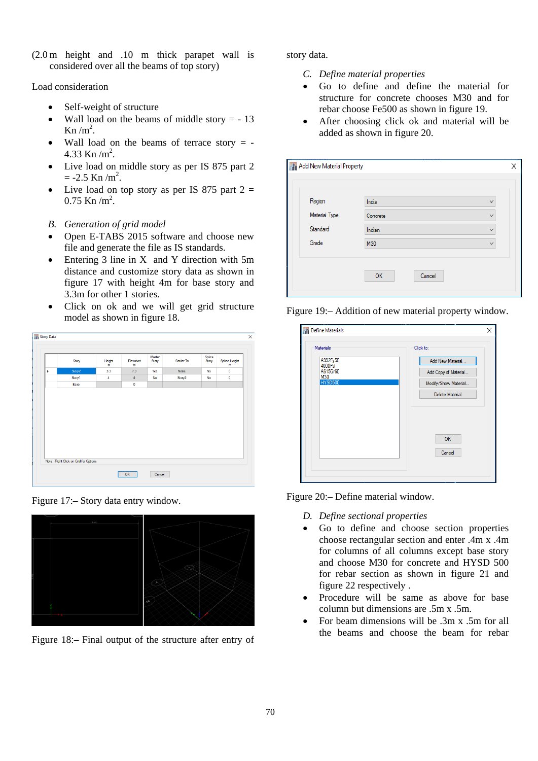(2.0 m height and .10 m thick parapet wall is considered over all the beams of top story)

Load consideration

- Self-weight of structure
- Wall load on the beams of middle story  $= -13$ Kn  $/m<sup>2</sup>$ .
- Wall load on the beams of terrace story  $= -$ 4.33 Kn  $/m^2$ .
- Live load on middle story as per IS 875 part 2  $= -2.5$  Kn /m<sup>2</sup>.
- Live load on top story as per IS 875 part  $2 =$  $0.75$  Kn /m<sup>2</sup>.
- *B. Generation of grid model*
- Open E-TABS 2015 software and choose new file and generate the file as IS standards.
- Entering  $3$  line in X and Y direction with  $5m$ distance and customize story data as shown in figure 17 with height 4m for base story and 3.3m for other 1 stories.
- Click on ok and we will get grid structure model as shown in figure 18.

|   |        | m   | m              | Story |        | Story     | Splice Height<br>m |
|---|--------|-----|----------------|-------|--------|-----------|--------------------|
| ь | Story2 | 3.3 | 7.3            | Yes   | None   | <b>No</b> | $\mathbf 0$        |
|   | Story1 | 4   | $\overline{4}$ | No    | Story2 | <b>No</b> | 0                  |
|   | Base   |     | $\bf{0}$       |       |        |           |                    |
|   |        |     |                |       |        |           |                    |

Figure 17:– Story data entry window.



Figure 18:– Final output of the structure after entry of

story data.

- *C. Define material properties*
- Go to define and define the material for structure for concrete chooses M30 and for rebar choose Fe500 as shown in figure 19.
- After choosing click ok and material will be added as shown in figure 20.

| Region        | India    | $\checkmark$ |
|---------------|----------|--------------|
| Material Type | Concrete | $\checkmark$ |
| Standard      | Indian   | $\checkmark$ |
| Grade         | M30      | $\checkmark$ |



| <b>Materials</b>    | Click to:              |
|---------------------|------------------------|
| A992Fy50<br>4000Psi | Add New Material       |
| A615Gr60<br>M30     | Add Copy of Material   |
| <b>HYSD500</b>      | Modify/Show Material   |
|                     | <b>Delete Material</b> |
|                     | OK<br>Cancel           |

Figure 20:– Define material window.

- *D. Define sectional properties*
- Go to define and choose section properties choose rectangular section and enter .4m x .4m for columns of all columns except base story and choose M30 for concrete and HYSD 500 for rebar section as shown in figure 21 and figure 22 respectively .
- Procedure will be same as above for base column but dimensions are .5m x .5m.
- For beam dimensions will be .3m x .5m for all the beams and choose the beam for rebar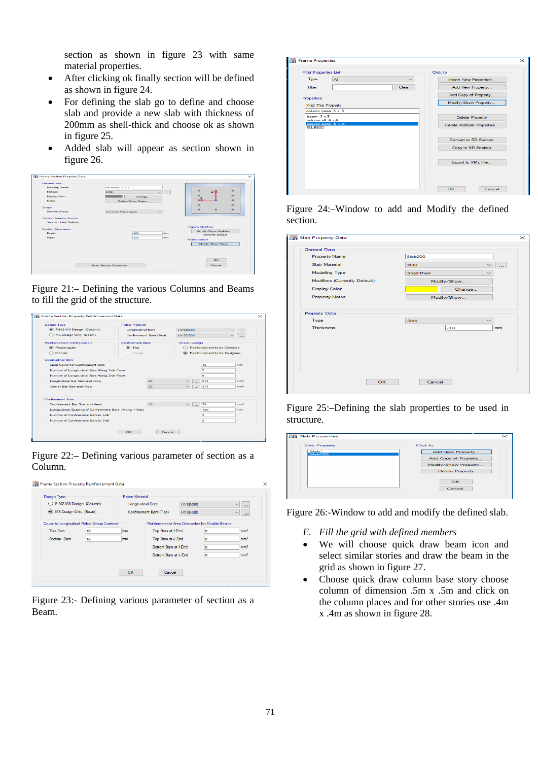section as shown in figure 23 with same material properties.

- After clicking ok finally section will be defined as shown in figure 24.
- For defining the slab go to define and choose slab and provide a new slab with thickness of 200mm as shell-thick and choose ok as shown in figure 25.
- Added slab will appear as section shown in figure 26.



Figure 21:– Defining the various Columns and Beams to fill the grid of the structure.

| <b>Design Type</b>                                      | <b>Rebar Material</b>    |                         |                                                                     |     |                 |  |
|---------------------------------------------------------|--------------------------|-------------------------|---------------------------------------------------------------------|-----|-----------------|--|
| <sup>(a)</sup> P-M2-M3 Design (Column)                  | <b>Longitudinal Bara</b> |                         | <b>HYSD500</b>                                                      |     | $\sim$          |  |
| M3 Design Only (Beam)                                   |                          | Confinement Bara (Ties) | HYSD500<br>$\ddotsc$<br>Check/Design<br>Reinforcement to be Checked |     |                 |  |
| <b>Reinforcement Configuration</b>                      | <b>Confinement Bars</b>  |                         |                                                                     |     |                 |  |
| C Rectangular                                           | C Ties                   |                         |                                                                     |     |                 |  |
| ○ Circular                                              | $\bigcirc$ Spirals       |                         | Reinforcement to be Designed                                        |     |                 |  |
| <b>Longitudinal Bars</b>                                |                          |                         |                                                                     |     |                 |  |
| Clear Cover for Confinement Bars                        |                          |                         |                                                                     | 40  | mm              |  |
| Number of Longitudinal Bars Along 3-dir Face            |                          |                         |                                                                     | з   |                 |  |
| Number of Longitudinal Bars Along 2-dir Face            |                          |                         |                                                                     | 5   |                 |  |
| Longitudinal Bar Size and Area                          |                          | 20                      | $\checkmark$                                                        | 314 | mm <sup>2</sup> |  |
| Comer Bar Size and Area                                 |                          | 20                      | $\sim$                                                              | 314 | mm <sup>2</sup> |  |
| <b>Confinement Bara</b>                                 |                          |                         |                                                                     |     |                 |  |
| Confinement Bar Size and Area                           |                          | 10 <sub>o</sub>         | $\checkmark$                                                        | 79  | mm <sup>2</sup> |  |
| Longitudinal Spacing of Confinement Bars (Along 1-Axis) |                          |                         |                                                                     | 150 | mm              |  |
| Number of Confinement Bancin 3-dir                      |                          |                         |                                                                     | з   |                 |  |
| Number of Confinement Bars in 2-dir                     |                          |                         |                                                                     | з   |                 |  |
|                                                         |                          |                         |                                                                     |     |                 |  |

Figure 22:– Defining various parameter of section as a Column.

| Design Type                                |    | <b>Rebar Material</b> |                                                 |                |          |                          |
|--------------------------------------------|----|-----------------------|-------------------------------------------------|----------------|----------|--------------------------|
| P-M2-M3 Design (Column)                    |    |                       | <b>Longitudinal Bars</b>                        | <b>HYSD500</b> |          | $\ddot{}$<br>$\ddotsc$   |
| 6 M3 Design Only (Beam)                    |    |                       | Confinement Bars (Ties)                         | <b>HYSD500</b> |          | $\checkmark$<br>$\cdots$ |
| Cover to Longitudinal Rebar Group Centroid |    |                       | Reinforcement Area Overwrites for Ductile Beams |                |          |                          |
| <b>Top Bars</b>                            | 60 | mm                    | Top Bars at I-End                               |                | ۱o       | mm <sup>2</sup>          |
| <b>Bottom Bars</b>                         | 60 | mm                    | Top Bars at J-End                               |                | O        | mm <sup>2</sup>          |
|                                            |    |                       | Bottom Bars at I-End.                           |                | $\Omega$ | mm <sup>2</sup>          |
|                                            |    |                       | Bottom Bars at J-End                            |                | 0        | mm <sup>2</sup>          |
|                                            |    | OK                    | Cancel                                          |                |          |                          |

Figure 23:- Defining various parameter of section as a Beam.

| <b>Filter Properties List</b>           | Click to:                             |
|-----------------------------------------|---------------------------------------|
| Type<br>A                               | Import New Properties<br>$\checkmark$ |
| Filter                                  | Add New Property<br>Clear             |
| Properties                              | Add Copy of Property                  |
| <b>Find This Property</b>               | Modify/Show Property                  |
| column base 5 x 5                       |                                       |
| beam $.3 \times 5$<br>column all .4 x.4 | <b>Delete Property</b>                |
| column base .5 x .5<br><b>ISLB600</b>   | Delete Multiple Properties            |
|                                         | Convert to SD Section                 |
|                                         | Copy to SD Section                    |
|                                         | Export to XML File                    |
|                                         |                                       |

#### Figure 24:–Window to add and Modify the defined section.

| <b>Slab Property Data</b>     |                |              | $\times$       |
|-------------------------------|----------------|--------------|----------------|
| General Data                  |                |              |                |
| <b>Property Name</b>          | <b>Slab200</b> |              |                |
| Slab Material                 | <b>M30</b>     | $\checkmark$ | $\overline{a}$ |
| Modeling Type                 | Shell-Thick    | $\checkmark$ |                |
| Modifiers (Currently Default) | Modify/Show    |              |                |
| <b>Display Color</b>          |                | Change       |                |
| <b>Property Notes</b>         | Modify/Show    |              |                |
|                               |                |              |                |
| <b>Property Data</b>          |                |              |                |
| Type                          | <b>Slab</b>    |              |                |
| <b>Thickness</b>              |                | 200          | mm             |
|                               |                |              |                |
|                               |                |              |                |
|                               |                |              |                |
|                               |                |              |                |
|                               |                |              |                |
|                               |                |              |                |
| OK                            | Cancel         |              |                |

Figure 25:–Defining the slab properties to be used in structure.

| <b>Slab Property</b> | Click to:              |
|----------------------|------------------------|
| Slab1<br>Slab200     | Add New Property       |
|                      | Add Copy of Property   |
|                      | Modify/Show Property   |
|                      | <b>Delete Property</b> |
|                      | OK                     |
|                      | Cancel                 |

Figure 26:-Window to add and modify the defined slab.

- *E. Fill the grid with defined members*
- We will choose quick draw beam icon and select similar stories and draw the beam in the grid as shown in figure 27.
- Choose quick draw column base story choose column of dimension .5m x .5m and click on the column places and for other stories use .4m x .4m as shown in figure 28.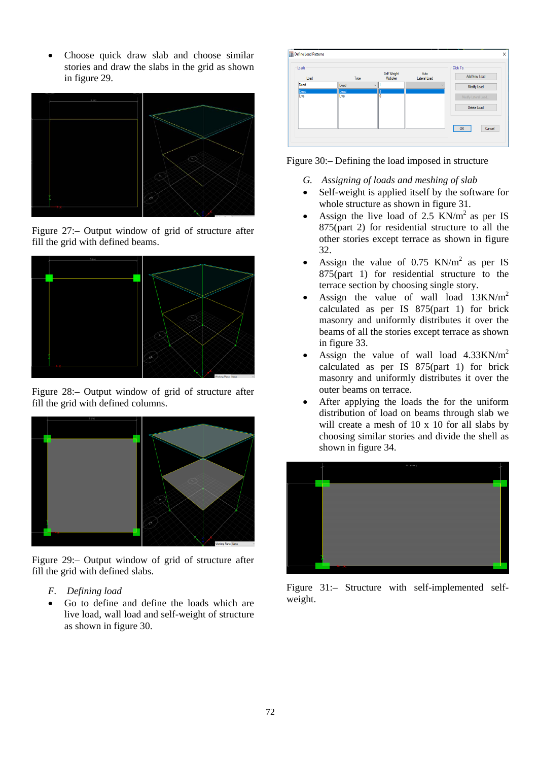Choose quick draw slab and choose similar stories and draw the slabs in the grid as shown in figure 29.



Figure 27:– Output window of grid of structure after fill the grid with defined beams.



Figure 28:– Output window of grid of structure after fill the grid with defined columns.



Figure 29:– Output window of grid of structure after fill the grid with defined slabs.

- *F. Defining load*
- Go to define and define the loads which are live load, wall load and self-weight of structure as shown in figure 30.



Figure 30:– Defining the load imposed in structure

- *G. Assigning of loads and meshing of slab*
- Self-weight is applied itself by the software for whole structure as shown in figure 31.
- Assign the live load of 2.5 KN/ $m<sup>2</sup>$  as per IS 875(part 2) for residential structure to all the other stories except terrace as shown in figure 32.
- Assign the value of  $0.75$  KN/m<sup>2</sup> as per IS 875(part 1) for residential structure to the terrace section by choosing single story.
- Assign the value of wall load  $13KN/m^2$ calculated as per IS 875(part 1) for brick masonry and uniformly distributes it over the beams of all the stories except terrace as shown in figure 33.
- Assign the value of wall load  $4.33$ KN/m<sup>2</sup> calculated as per IS 875(part 1) for brick masonry and uniformly distributes it over the outer beams on terrace.
- After applying the loads the for the uniform distribution of load on beams through slab we will create a mesh of 10 x 10 for all slabs by choosing similar stories and divide the shell as shown in figure 34.



Figure 31:– Structure with self-implemented selfweight.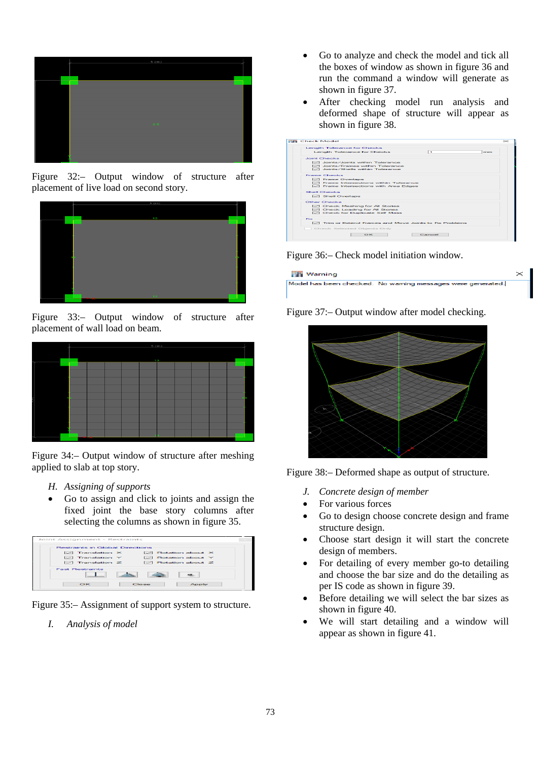

Figure 32:– Output window of structure after placement of live load on second story.



Figure 33:– Output window of structure after placement of wall load on beam.



Figure 34:– Output window of structure after meshing applied to slab at top story.

- *H. Assigning of supports*
- Go to assign and click to joints and assign the fixed joint the base story columns after selecting the columns as shown in figure 35.



Figure 35:– Assignment of support system to structure.

*I. Analysis of model* 

- Go to analyze and check the model and tick all the boxes of window as shown in figure 36 and run the command a window will generate as shown in figure 37.
- After checking model run analysis and deformed shape of structure will appear as shown in figure 38.

| <b>Length Tolerance for Checks</b><br>Length Tolerance for Checks<br>O Joints/Joints within Tolerance<br>IZZ Joints/Frames within Tolerance<br>O Joints/Shells within Tolerance<br><b>DI</b> Frame Overlaps<br><b>I</b> - Frame Intersections within Tolerance<br>- Frame Intersections with Area Edges | n.<br>mm |
|---------------------------------------------------------------------------------------------------------------------------------------------------------------------------------------------------------------------------------------------------------------------------------------------------------|----------|
| Jeans Chardes                                                                                                                                                                                                                                                                                           |          |
|                                                                                                                                                                                                                                                                                                         |          |
|                                                                                                                                                                                                                                                                                                         |          |
|                                                                                                                                                                                                                                                                                                         |          |
| Frame Checks                                                                                                                                                                                                                                                                                            |          |
|                                                                                                                                                                                                                                                                                                         |          |
|                                                                                                                                                                                                                                                                                                         |          |
|                                                                                                                                                                                                                                                                                                         |          |
|                                                                                                                                                                                                                                                                                                         |          |
|                                                                                                                                                                                                                                                                                                         |          |
| Shell Checks                                                                                                                                                                                                                                                                                            |          |
| <b>IShell Overland</b>                                                                                                                                                                                                                                                                                  |          |
| Other Checks                                                                                                                                                                                                                                                                                            |          |
| Check Meshing for All Stories                                                                                                                                                                                                                                                                           |          |
| Check Loading for All Stories                                                                                                                                                                                                                                                                           |          |
| Check for Duplicate Self Mass                                                                                                                                                                                                                                                                           |          |
| Fix                                                                                                                                                                                                                                                                                                     |          |
| □ Trim or Extend Frames and Move Joints to Fix Problems                                                                                                                                                                                                                                                 |          |
| Check Selected Objects Only                                                                                                                                                                                                                                                                             |          |
| $\circ$ <sub>K</sub>                                                                                                                                                                                                                                                                                    | Cancel   |

Figure 36:– Check model initiation window.

| <b>Warning</b>                                              |  |
|-------------------------------------------------------------|--|
| Model has been checked. No warning messages were generated. |  |

Figure 37:– Output window after model checking.



Figure 38:– Deformed shape as output of structure.

- *J. Concrete design of member*
- For various forces
- Go to design choose concrete design and frame structure design.
- Choose start design it will start the concrete design of members.
- For detailing of every member go-to detailing and choose the bar size and do the detailing as per IS code as shown in figure 39.
- Before detailing we will select the bar sizes as shown in figure 40.
- We will start detailing and a window will appear as shown in figure 41.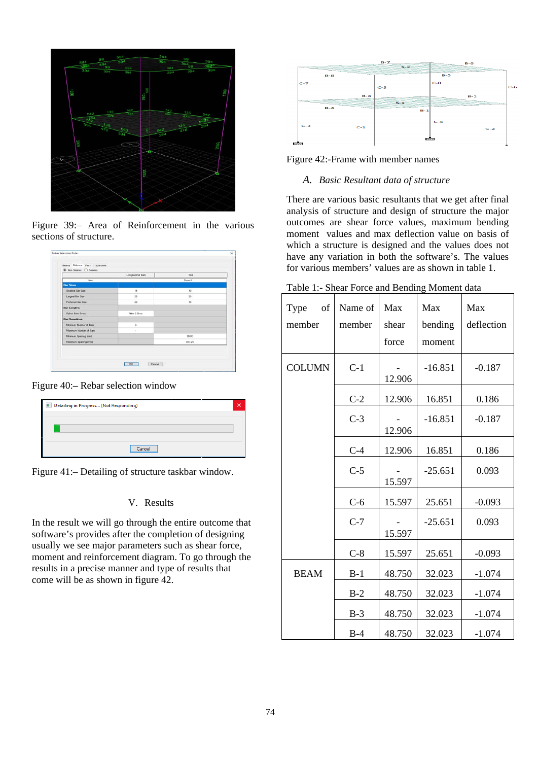

Figure 39:– Area of Reinforcement in the various sections of structure.

|                               | Longitudinal Bars    | Ties      |
|-------------------------------|----------------------|-----------|
| <b>Barn</b>                   |                      | Zone A    |
| <b>Bar Steve</b>              |                      |           |
| <b>Smallest Day Size</b>      | 14                   | 10        |
| Largest Bar Saw               | 28                   | 20        |
| Frederical Bar Size           | 20                   | 10        |
| <b>Bar Lengths</b>            |                      |           |
| <b>Spice Bars Every</b>       | <b>Jihar 2 Story</b> |           |
| <b>Bar Quantities</b>         |                      |           |
| Mesmum Number of Ram          | ٠                    |           |
| <b>Maximum Number of Bare</b> |                      |           |
| Mexicum Spacing trent         |                      | 50.80     |
| Maximum Spacing (mm)          |                      | $-457.20$ |

Figure 40:– Rebar selection window

| Detailing in Progress (Not Responding) |  |
|----------------------------------------|--|
|                                        |  |
|                                        |  |
| Cancel                                 |  |

Figure 41:– Detailing of structure taskbar window.

# V. Results

In the result we will go through the entire outcome that software's provides after the completion of designing usually we see major parameters such as shear force, moment and reinforcement diagram. To go through the results in a precise manner and type of results that come will be as shown in figure 42.



Figure 42:-Frame with member names

#### *A. Basic Resultant data of structure*

There are various basic resultants that we get after final analysis of structure and design of structure the major outcomes are shear force values, maximum bending moment values and max deflection value on basis of which a structure is designed and the values does not have any variation in both the software's. The values for various members' values are as shown in table 1.

| of<br>Type<br>member | Name of<br>member | Max<br>shear | Max<br>bending | Max<br>deflection |
|----------------------|-------------------|--------------|----------------|-------------------|
|                      |                   | force        | moment         |                   |
| <b>COLUMN</b>        | $C-1$             | 12.906       | $-16.851$      | $-0.187$          |
|                      | $C-2$             | 12.906       | 16.851         | 0.186             |
|                      | $C-3$             | 12.906       | $-16.851$      | $-0.187$          |
|                      | $C-4$             | 12.906       | 16.851         | 0.186             |
|                      | $C-5$             | 15.597       | $-25.651$      | 0.093             |
|                      | $C-6$             | 15.597       | 25.651         | $-0.093$          |
|                      | $C-7$             | 15.597       | $-25.651$      | 0.093             |
|                      | $C-8$             | 15.597       | 25.651         | $-0.093$          |
| <b>BEAM</b>          | $B-1$             | 48.750       | 32.023         | $-1.074$          |
|                      | $B-2$             | 48.750       | 32.023         | $-1.074$          |
|                      | $B-3$             | 48.750       | 32.023         | $-1.074$          |
|                      | $B-4$             | 48.750       | 32.023         | $-1.074$          |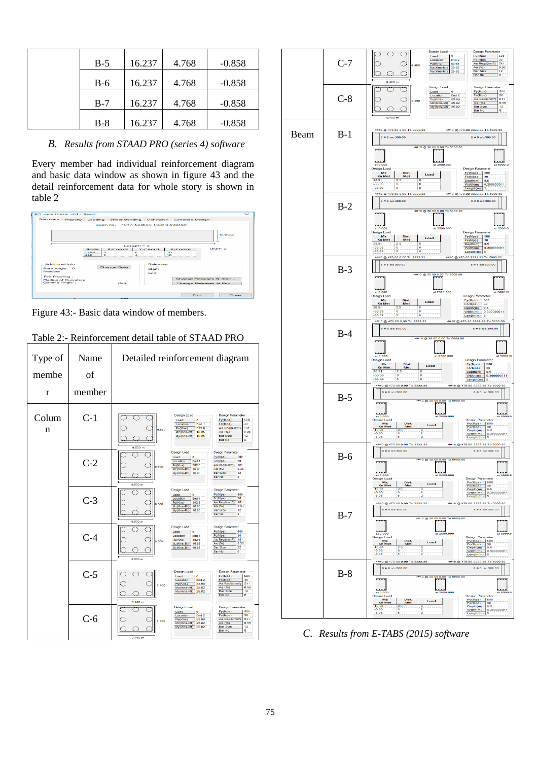| $B-5$ | 16.237 | 4.768 | $-0.858$ |
|-------|--------|-------|----------|
| $B-6$ | 16.237 | 4.768 | $-0.858$ |
| $B-7$ | 16.237 | 4.768 | $-0.858$ |
| $B-8$ | 16.237 | 4.768 | $-0.858$ |

*B. Results from STAAD PRO (series 4) software* 

Every member had individual reinforcement diagram and basic data window as shown in figure 43 and the detail reinforcement data for whole story is shown in table 2



Figure 43:- Basic data window of members.

| Type of<br>membe<br>r | Name<br>οf<br>member | Detailed reinforcement diagram                                                                                                                                                                                                                                                                                             |
|-----------------------|----------------------|----------------------------------------------------------------------------------------------------------------------------------------------------------------------------------------------------------------------------------------------------------------------------------------------------------------------------|
| Colum<br>n            | $C-1$                | <b>Design Load</b><br><b>Design Parameter</b><br>Fy(Mpa)<br>500<br>Load<br>6<br>30<br>Location<br>End 1<br>Fc(Mpa)<br>As Regd(mm <sup>2</sup> )<br>181<br>Pu(Kns)<br>302.8<br>0.500<br>As (%)<br>Mz(Kns-Mt)<br>16.85<br>0.36<br>My(Kns-Mt)<br>16.85<br><b>Bar Size</b><br>12<br><b>Bar No</b><br>8<br>0.500 m              |
|                       | $C-2$                | <b>Design Load</b><br><b>Design Parameter</b><br>Fy(Mpa)<br>500<br>Load<br>6<br>Fc(Mpa)<br>Location<br>30<br>End <sub>1</sub><br>302.8<br>As Regd(mm <sup>z</sup> )<br>181<br>Pu(Kns)<br>0.500<br>As (%)<br>16.85<br>0.36<br>$Mz(Kns-Mt)$<br><b>Bar Size</b><br>12<br>My(Kns-Mt)<br>16.85<br>Bar No<br>8<br>0.500 m        |
|                       | $C-3$                | <b>Design Load</b><br><b>Design Parameter</b><br>Load<br>Fy(Mpa)<br>500<br>6<br>Fc(Mpa)<br>30<br>Location<br>End <sub>1</sub><br>302.8<br>As Regd(mm <sup>z</sup> )<br>181<br>Pu(Kns)<br>0.500<br>16.85<br>As $(%)$<br>0.36<br>$Mz(Kns-Mt)$<br><b>Bar Size</b><br>12<br>My(Kns-Mt)<br>16.85<br>Bar No<br>8<br>0.500 m      |
|                       | $C-4$                | <b>Design Load</b><br><b>Design Parameter</b><br>Fy(Mpa)<br>500<br>Load<br>6<br>Fc(Mpa)<br>Location<br>30<br>End <sub>1</sub><br>As Regd(mm <sup>z</sup> )<br>302.8<br>181<br>Pu(Kns)<br>0.500<br>As (%)<br>16.85<br>0.36<br>$Mz(Kns-Mt)$<br><b>Bar Size</b><br>12<br>My(Kns-Mt)<br>16.85<br><b>Bar No</b><br>8<br>0.500 m |
|                       | $C-5$                | <b>Design Load</b><br><b>Design Parameter</b><br>Load<br>Fy(Mpa)<br>500<br>6<br>End <sub>2</sub><br>30<br>Location<br>Fc(Mpa)<br>83.68<br>As Regd(mm <sup>z</sup> )<br>511<br>Pu(Kns)<br>0.400<br>25.82<br>As (%)<br>0.56<br>$Mz(Kns-Mt)$<br>My(Kns-Mt)<br>25.82<br><b>Bar Size</b><br>12<br><b>Bar No</b><br>8<br>0.400 m |
|                       | C-6                  | <b>Design Parameter</b><br><b>Design Load</b><br>Fy(Mpa)<br>500<br>Load<br>6<br>Location<br>End <sub>2</sub><br>Fc(Mpa)<br>30<br>As Regd(mm <sup>2</sup> )<br>511<br>Pu(Kns)<br>83.68<br>0.400<br>As (%)<br>0.56<br>Mz(Kns-Mt)<br>25.82<br>My(Kns-Mt)<br><b>Bar Size</b><br>12<br>25.82<br><b>Bar No</b><br>s              |



*C. Results from E-TABS (2015) software*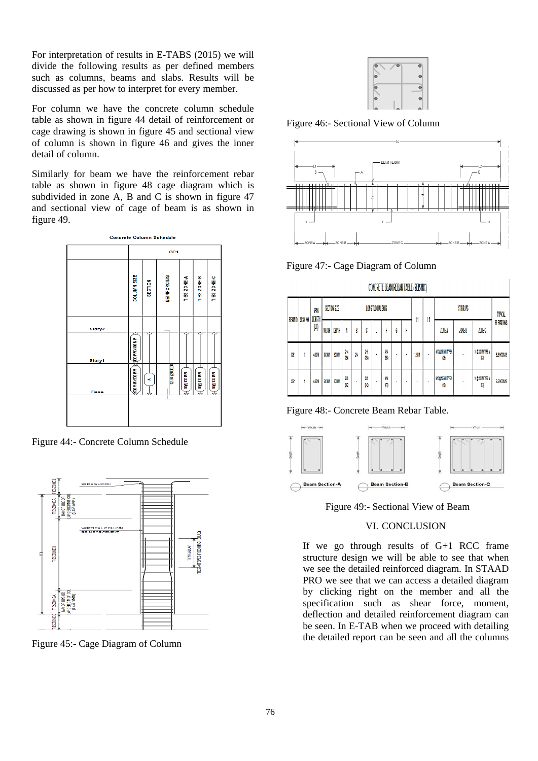For interpretation of results in E-TABS (2015) we will divide the following results as per defined members such as columns, beams and slabs. Results will be discussed as per how to interpret for every member.

For column we have the concrete column schedule table as shown in figure 44 detail of reinforcement or cage drawing is shown in figure 45 and sectional view of column is shown in figure 46 and gives the inner detail of column.

Similarly for beam we have the reinforcement rebar table as shown in figure 48 cage diagram which is subdivided in zone A, B and C is shown in figure 47 and sectional view of cage of beam is as shown in figure 49.



Figure 44:- Concrete Column Schedule



Figure 45:- Cage Diagram of Column



Figure 46:- Sectional View of Column



Figure 47:- Cage Diagram of Column

|                | CONCRETE BEAM REBAR TABLE (SEISMIC) |               |       |              |                          |   |         |   |           |   |   |             |   |                                |               |                      |                   |
|----------------|-------------------------------------|---------------|-------|--------------|--------------------------|---|---------|---|-----------|---|---|-------------|---|--------------------------------|---------------|----------------------|-------------------|
| <b>BEAM ID</b> | SPAN NO.                            | SAN<br>LENGTH |       | SECTION SIZE | <b>LONGITUDINAL BARS</b> |   |         |   |           | U | u | STIRRUPS    |   |                                | TYMCAL        |                      |                   |
|                |                                     | (LC)          | WIDTH | DEPTH        | ۸                        | B | ٨<br>u  | D |           | G | H |             |   | ZONE A                         | <b>ZONE B</b> | ZONEC                | <b>ELEVATIONS</b> |
| W              |                                     | <b>AROM</b>   | XXW   | 90MW         | M<br>M                   | Ж | M<br>W  | ٠ | ш<br>M    | ٠ | ٠ | <b>1.BM</b> | ٠ | <b><i>VIOLINATES</i></b><br>O. |               | <b>DOCUMENT</b><br>u | ELEZKOZNIK        |
| 18             |                                     | <b>LSOM</b>   | XXW   | 90 MW        | M<br>K                   | ٠ | M<br>ß, | ٠ | И<br>(AI) | ٠ | ٠ | ٠           | ٠ | <b>MAGMITEA</b><br>M           |               | 10000 MITTEA<br>u    | ELEZATOR 18       |

-----------------------

Figure 48:- Concrete Beam Rebar Table.



Figure 49:- Sectional View of Beam

# VI. CONCLUSION

If we go through results of G+1 RCC frame structure design we will be able to see that when we see the detailed reinforced diagram. In STAAD PRO we see that we can access a detailed diagram by clicking right on the member and all the specification such as shear force, moment, deflection and detailed reinforcement diagram can be seen. In E-TAB when we proceed with detailing the detailed report can be seen and all the columns